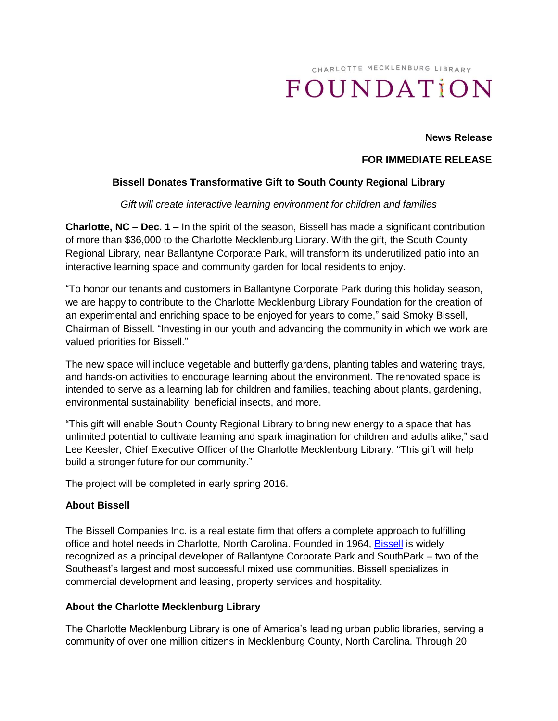# CHARLOTTE MECKLENBURG LIBRARY FOUNDATION

#### **News Release**

## **FOR IMMEDIATE RELEASE**

# **Bissell Donates Transformative Gift to South County Regional Library**

#### *Gift will create interactive learning environment for children and families*

**Charlotte, NC – Dec. 1** – In the spirit of the season, Bissell has made a significant contribution of more than \$36,000 to the Charlotte Mecklenburg Library. With the gift, the South County Regional Library, near Ballantyne Corporate Park, will transform its underutilized patio into an interactive learning space and community garden for local residents to enjoy.

"To honor our tenants and customers in Ballantyne Corporate Park during this holiday season, we are happy to contribute to the Charlotte Mecklenburg Library Foundation for the creation of an experimental and enriching space to be enjoyed for years to come," said Smoky Bissell, Chairman of Bissell. "Investing in our youth and advancing the community in which we work are valued priorities for Bissell."

The new space will include vegetable and butterfly gardens, planting tables and watering trays, and hands-on activities to encourage learning about the environment. The renovated space is intended to serve as a learning lab for children and families, teaching about plants, gardening, environmental sustainability, beneficial insects, and more.

"This gift will enable South County Regional Library to bring new energy to a space that has unlimited potential to cultivate learning and spark imagination for children and adults alike," said Lee Keesler, Chief Executive Officer of the Charlotte Mecklenburg Library. "This gift will help build a stronger future for our community."

The project will be completed in early spring 2016.

## **About Bissell**

The Bissell Companies Inc. is a real estate firm that offers a complete approach to fulfilling office and hotel needs in Charlotte, North Carolina. Founded in 1964, [Bissell](http://www.bissellcompanies.com/) is widely recognized as a principal developer of Ballantyne Corporate Park and SouthPark – two of the Southeast's largest and most successful mixed use communities. Bissell specializes in commercial development and leasing, property services and hospitality.

## **About the Charlotte Mecklenburg Library**

The Charlotte Mecklenburg Library is one of America's leading urban public libraries, serving a community of over one million citizens in Mecklenburg County, North Carolina. Through 20